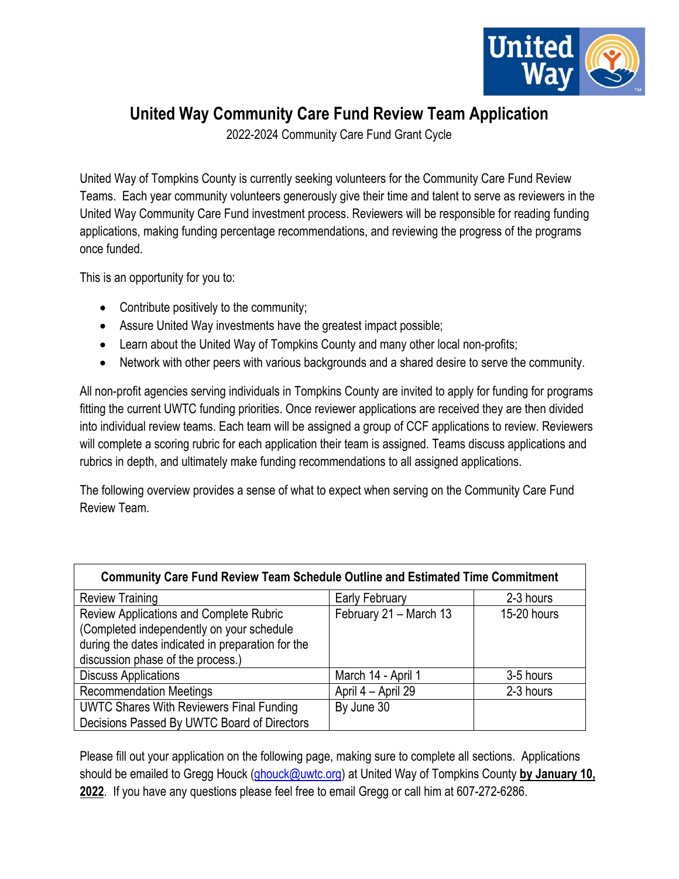

## **United Way Community Care Fund Review Team Application**

2022-2024 Community Care Fund Grant Cycle

United Way of Tompkins County is currently seeking volunteers for the Community Care Fund Review Teams. Each year community volunteers generously give their time and talent to serve as reviewers in the United Way Community Care Fund investment process. Reviewers will be responsible for reading funding applications, making funding percentage recommendations, and reviewing the progress of the programs once funded.

This is an opportunity for you to:

- Contribute positively to the community;
- Assure United Way investments have the greatest impact possible;
- Learn about the United Way of Tompkins County and many other local non-profits;
- Network with other peers with various backgrounds and a shared desire to serve the community.

All non-profit agencies serving individuals in Tompkins County are invited to apply for funding for programs fitting the current UWTC funding priorities. Once reviewer applications are received they are then divided into individual review teams. Each team will be assigned a group of CCF applications to review. Reviewers will complete a scoring rubric for each application their team is assigned. Teams discuss applications and rubrics in depth, and ultimately make funding recommendations to all assigned applications.

The following overview provides a sense of what to expect when serving on the Community Care Fund Review Team.

| <b>Community Care Fund Review Team Schedule Outline and Estimated Time Commitment</b> |                        |             |  |  |  |  |  |  |
|---------------------------------------------------------------------------------------|------------------------|-------------|--|--|--|--|--|--|
| <b>Review Training</b>                                                                | Early February         | 2-3 hours   |  |  |  |  |  |  |
| Review Applications and Complete Rubric                                               | February 21 - March 13 | 15-20 hours |  |  |  |  |  |  |
| (Completed independently on your schedule                                             |                        |             |  |  |  |  |  |  |
| during the dates indicated in preparation for the                                     |                        |             |  |  |  |  |  |  |
| discussion phase of the process.)                                                     |                        |             |  |  |  |  |  |  |
| <b>Discuss Applications</b>                                                           | March 14 - April 1     | 3-5 hours   |  |  |  |  |  |  |
| <b>Recommendation Meetings</b>                                                        | April 4 - April 29     | 2-3 hours   |  |  |  |  |  |  |
| <b>UWTC Shares With Reviewers Final Funding</b>                                       | By June 30             |             |  |  |  |  |  |  |
| Decisions Passed By UWTC Board of Directors                                           |                        |             |  |  |  |  |  |  |

Please fill out your application on the following page, making sure to complete all sections. Applications should be emailed to Gregg Houck [\(ghouck@uwtc.org\)](mailto:ghouck@uwtc.org) at United Way of Tompkins County **by January 10, 2022**. If you have any questions please feel free to email Gregg or call him at 607-272-6286.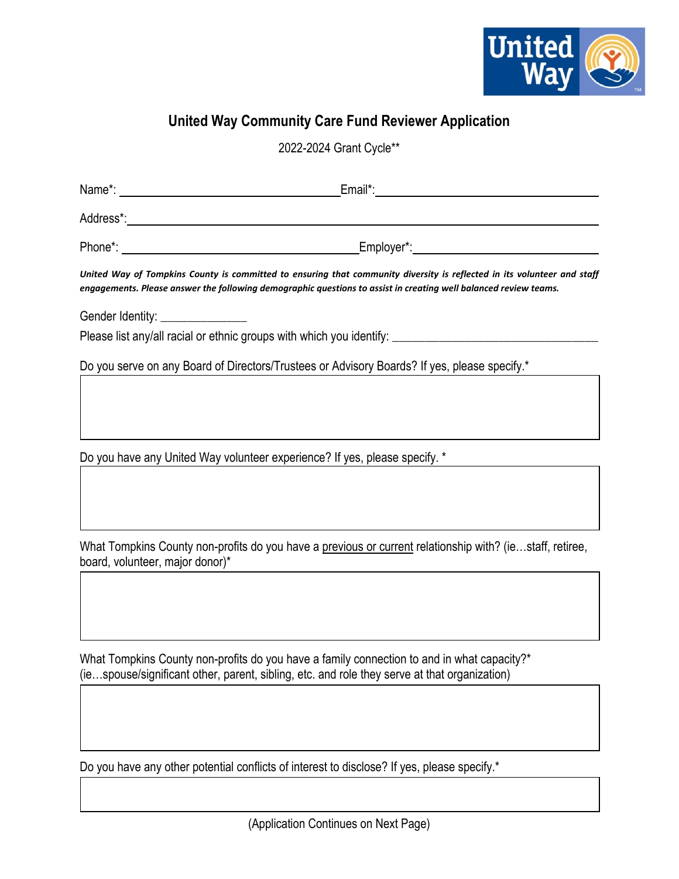

## **United Way Community Care Fund Reviewer Application**

2022-2024 Grant Cycle\*\*

| engagements. Please answer the following demographic questions to assist in creating well balanced review teams.                                                                           | United Way of Tompkins County is committed to ensuring that community diversity is reflected in its volunteer and staff |
|--------------------------------------------------------------------------------------------------------------------------------------------------------------------------------------------|-------------------------------------------------------------------------------------------------------------------------|
| Gender Identity: _______________                                                                                                                                                           |                                                                                                                         |
| Please list any/all racial or ethnic groups with which you identify: _______________________________                                                                                       |                                                                                                                         |
| Do you serve on any Board of Directors/Trustees or Advisory Boards? If yes, please specify.*                                                                                               |                                                                                                                         |
|                                                                                                                                                                                            |                                                                                                                         |
| Do you have any United Way volunteer experience? If yes, please specify. *                                                                                                                 |                                                                                                                         |
|                                                                                                                                                                                            |                                                                                                                         |
|                                                                                                                                                                                            |                                                                                                                         |
| board, volunteer, major donor)*                                                                                                                                                            | What Tompkins County non-profits do you have a previous or current relationship with? (iestaff, retiree,                |
|                                                                                                                                                                                            |                                                                                                                         |
|                                                                                                                                                                                            |                                                                                                                         |
| What Tompkins County non-profits do you have a family connection to and in what capacity?*<br>(iespouse/significant other, parent, sibling, etc. and role they serve at that organization) |                                                                                                                         |
|                                                                                                                                                                                            |                                                                                                                         |

Do you have any other potential conflicts of interest to disclose? If yes, please specify.\*